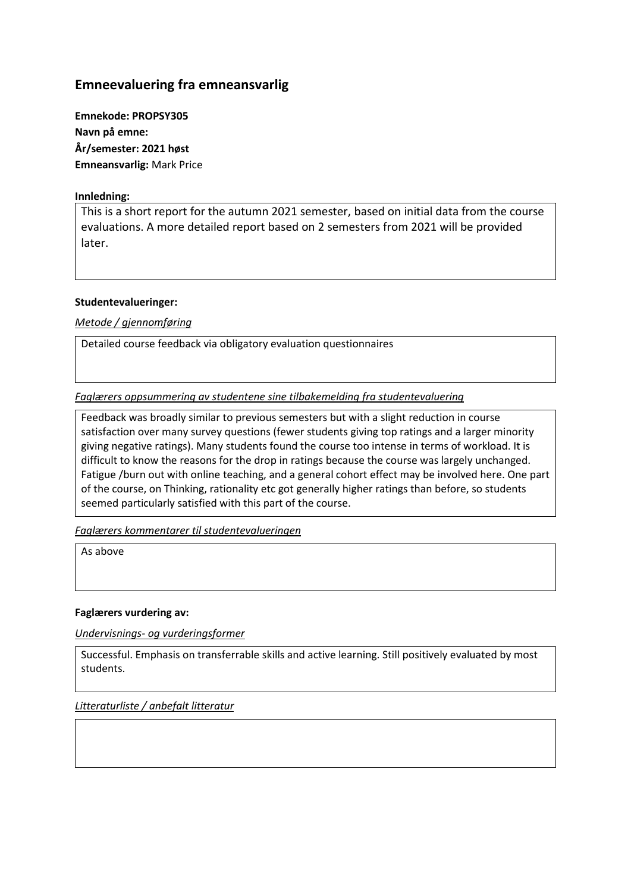# **Emneevaluering fra emneansvarlig**

**Emnekode: PROPSY305 Navn på emne: År/semester: 2021 høst Emneansvarlig:** Mark Price

# **Innledning:**

This is a short report for the autumn 2021 semester, based on initial data from the course evaluations. A more detailed report based on 2 semesters from 2021 will be provided later.

### **Studentevalueringer:**

*Metode / gjennomføring*

Detailed course feedback via obligatory evaluation questionnaires

*Faglærers oppsummering av studentene sine tilbakemelding fra studentevaluering*

Feedback was broadly similar to previous semesters but with a slight reduction in course satisfaction over many survey questions (fewer students giving top ratings and a larger minority giving negative ratings). Many students found the course too intense in terms of workload. It is difficult to know the reasons for the drop in ratings because the course was largely unchanged. Fatigue /burn out with online teaching, and a general cohort effect may be involved here. One part of the course, on Thinking, rationality etc got generally higher ratings than before, so students seemed particularly satisfied with this part of the course.

*Faglærers kommentarer til studentevalueringen*

As above

### **Faglærers vurdering av:**

*Undervisnings- og vurderingsformer*

Successful. Emphasis on transferrable skills and active learning. Still positively evaluated by most students.

*Litteraturliste / anbefalt litteratur*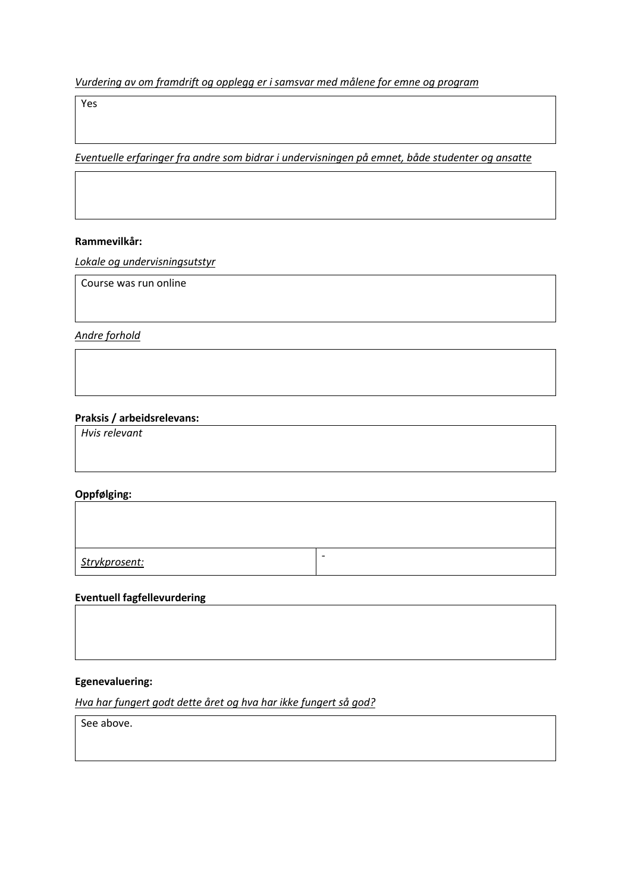*Vurdering av om framdrift og opplegg er i samsvar med målene for emne og program*

Yes

*Eventuelle erfaringer fra andre som bidrar i undervisningen på emnet, både studenter og ansatte*

#### **Rammevilkår:**

*Lokale og undervisningsutstyr*

Course was run online

*Andre forhold*

# **Praksis / arbeidsrelevans:**

*Hvis relevant*

# **Oppfølging:**

*Strykprosent:* -

# **Eventuell fagfellevurdering**

#### **Egenevaluering:**

*Hva har fungert godt dette året og hva har ikke fungert så god?*

See above.